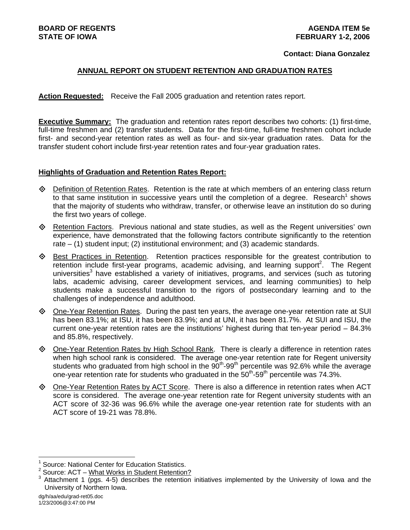## **Contact: Diana Gonzalez**

# **ANNUAL REPORT ON STUDENT RETENTION AND GRADUATION RATES**

**Action Requested:** Receive the Fall 2005 graduation and retention rates report.

**Executive Summary:** The graduation and retention rates report describes two cohorts: (1) first-time, full-time freshmen and (2) transfer students. Data for the first-time, full-time freshmen cohort include first- and second-year retention rates as well as four- and six-year graduation rates. Data for the transfer student cohort include first-year retention rates and four-year graduation rates.

#### **Highlights of Graduation and Retention Rates Report:**

- $\Diamond$  Definition of Retention Rates. Retention is the rate at which members of an entering class return to that same institution in successive years until the completion of a degree. Research<sup>1</sup> shows that the majority of students who withdraw, transfer, or otherwise leave an institution do so during the first two years of college.
- $\diamond$  Retention Factors. Previous national and state studies, as well as the Regent universities' own experience, have demonstrated that the following factors contribute significantly to the retention rate – (1) student input; (2) institutional environment; and (3) academic standards.
- ◆ Best Practices in Retention. Retention practices responsible for the greatest contribution to retention include first-year programs, academic advising, and learning support<sup>2</sup>. The Regent universities<sup>3</sup> have established a variety of initiatives, programs, and services (such as tutoring labs, academic advising, career development services, and learning communities) to help students make a successful transition to the rigors of postsecondary learning and to the challenges of independence and adulthood.
- ◆ One-Year Retention Rates. During the past ten years, the average one-year retention rate at SUI has been 83.1%; at ISU, it has been 83.9%; and at UNI, it has been 81.7%. At SUI and ISU, the current one-year retention rates are the institutions' highest during that ten-year period – 84.3% and 85.8%, respectively.
- ♦ One-Year Retention Rates by High School Rank. There is clearly a difference in retention rates when high school rank is considered. The average one-year retention rate for Regent university students who graduated from high school in the  $90<sup>th</sup>$ -99<sup>th</sup> percentile was 92.6% while the average one-year retention rate for students who graduated in the  $50<sup>th</sup>$ -59<sup>th</sup> percentile was 74.3%.
- One-Year Retention Rates by ACT Score. There is also a difference in retention rates when ACT score is considered. The average one-year retention rate for Regent university students with an ACT score of 32-36 was 96.6% while the average one-year retention rate for students with an ACT score of 19-21 was 78.8%.

l

<sup>1</sup> Source: National Center for Education Statistics.

<sup>2</sup> Source: ACT – What Works in Student Retention?

<sup>3</sup> Attachment 1 (pgs. 4-5) describes the retention initiatives implemented by the University of Iowa and the University of Northern Iowa.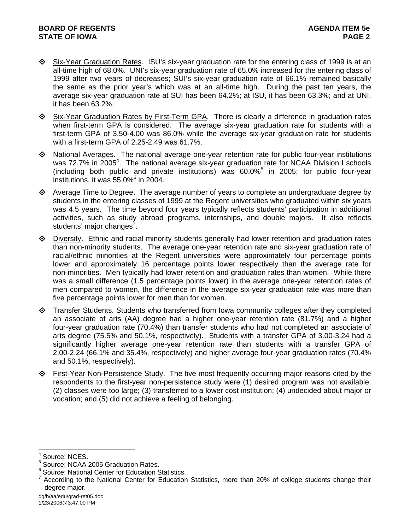- $\diamond$  Six-Year Graduation Rates. ISU's six-year graduation rate for the entering class of 1999 is at an all-time high of 68.0%. UNI's six-year graduation rate of 65.0% increased for the entering class of 1999 after two years of decreases; SUI's six-year graduation rate of 66.1% remained basically the same as the prior year's which was at an all-time high. During the past ten years, the average six-year graduation rate at SUI has been 64.2%; at ISU, it has been 63.3%; and at UNI, it has been 63.2%.
- ♦ Six-Year Graduation Rates by First-Term GPA. There is clearly a difference in graduation rates when first-term GPA is considered. The average six-year graduation rate for students with a first-term GPA of 3.50-4.00 was 86.0% while the average six-year graduation rate for students with a first-term GPA of 2.25-2.49 was 61.7%.
- National Averages. The national average one-year retention rate for public four-year institutions was 72.7% in 2005<sup>4</sup>. The national average six-year graduation rate for NCAA Division I schools (including both public and private institutions) was  $60.0\%$ <sup>5</sup> in 2005; for public four-year institutions, it was  $55.0\%$ <sup>6</sup> in 2004.
- $\Diamond$  Average Time to Degree. The average number of years to complete an undergraduate degree by students in the entering classes of 1999 at the Regent universities who graduated within six years was 4.5 years. The time beyond four years typically reflects students' participation in additional activities, such as study abroad programs, internships, and double majors. It also reflects students' major changes<sup>7</sup>.
- $\Diamond$  Diversity. Ethnic and racial minority students generally had lower retention and graduation rates than non-minority students. The average one-year retention rate and six-year graduation rate of racial/ethnic minorities at the Regent universities were approximately four percentage points lower and approximately 16 percentage points lower respectively than the average rate for non-minorities. Men typically had lower retention and graduation rates than women. While there was a small difference (1.5 percentage points lower) in the average one-year retention rates of men compared to women, the difference in the average six-year graduation rate was more than five percentage points lower for men than for women.
- Transfer Students. Students who transferred from Iowa community colleges after they completed an associate of arts (AA) degree had a higher one-year retention rate (81.7%) and a higher four-year graduation rate (70.4%) than transfer students who had not completed an associate of arts degree (75.5% and 50.1%, respectively). Students with a transfer GPA of 3.00-3.24 had a significantly higher average one-year retention rate than students with a transfer GPA of 2.00-2.24 (66.1% and 35.4%, respectively) and higher average four-year graduation rates (70.4% and 50.1%, respectively).
- First-Year Non-Persistence Study. The five most frequently occurring major reasons cited by the respondents to the first-year non-persistence study were (1) desired program was not available; (2) classes were too large; (3) transferred to a lower cost institution; (4) undecided about major or vocation; and (5) did not achieve a feeling of belonging.

l 4 Source: NCES.

<sup>5</sup> Source: NCAA 2005 Graduation Rates.

<sup>&</sup>lt;sup>6</sup> Source: National Center for Education Statistics.

 $7$  According to the National Center for Education Statistics, more than 20% of college students change their degree major.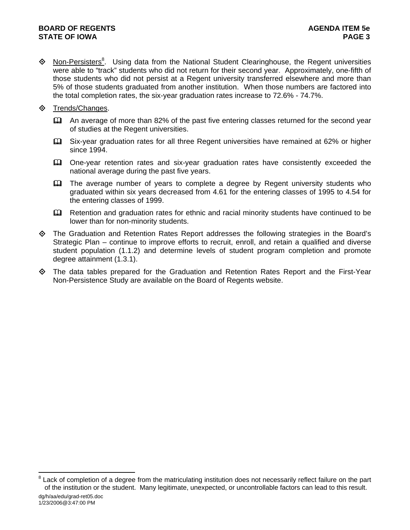# **BOARD OF REGENTS** AGENUS AGENDA ITEM 5e **STATE OF IOWA** PAGE 3

- ♦ Non-Persisters<sup>8</sup>. Using data from the National Student Clearinghouse, the Regent universities were able to "track" students who did not return for their second year. Approximately, one-fifth of those students who did not persist at a Regent university transferred elsewhere and more than 5% of those students graduated from another institution. When those numbers are factored into the total completion rates, the six-year graduation rates increase to 72.6% - 74.7%.
- **♦ Trends/Changes.** 
	- An average of more than 82% of the past five entering classes returned for the second year of studies at the Regent universities.
	- Six-year graduation rates for all three Regent universities have remained at 62% or higher since 1994.
	- One-year retention rates and six-year graduation rates have consistently exceeded the national average during the past five years.
	- The average number of years to complete a degree by Regent university students who graduated within six years decreased from 4.61 for the entering classes of 1995 to 4.54 for the entering classes of 1999.
	- **Example 20** Retention and graduation rates for ethnic and racial minority students have continued to be lower than for non-minority students.
- The Graduation and Retention Rates Report addresses the following strategies in the Board's Strategic Plan – continue to improve efforts to recruit, enroll, and retain a qualified and diverse student population (1.1.2) and determine levels of student program completion and promote degree attainment (1.3.1).
- The data tables prepared for the Graduation and Retention Rates Report and the First-Year Non-Persistence Study are available on the Board of Regents website.

l

<sup>8</sup> Lack of completion of a degree from the matriculating institution does not necessarily reflect failure on the part of the institution or the student. Many legitimate, unexpected, or uncontrollable factors can lead to this result.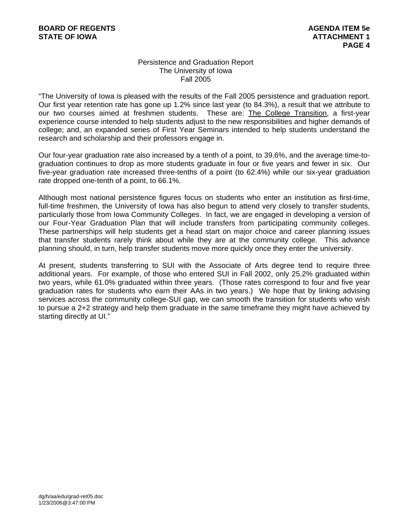# Persistence and Graduation Report The University of Iowa Fall 2005

"The University of Iowa is pleased with the results of the Fall 2005 persistence and graduation report. Our first year retention rate has gone up 1.2% since last year (to 84.3%), a result that we attribute to our two courses aimed at freshmen students. These are: The College Transition, a first-year experience course intended to help students adjust to the new responsibilities and higher demands of college; and, an expanded series of First Year Seminars intended to help students understand the research and scholarship and their professors engage in.

Our four-year graduation rate also increased by a tenth of a point, to 39.6%, and the average time-tograduation continues to drop as more students graduate in four or five years and fewer in six. Our five-year graduation rate increased three-tenths of a point (to 62.4%) while our six-year graduation rate dropped one-tenth of a point, to 66.1%.

Although most national persistence figures focus on students who enter an institution as first-time, full-time freshmen, the University of Iowa has also begun to attend very closely to transfer students, particularly those from Iowa Community Colleges. In fact, we are engaged in developing a version of our Four-Year Graduation Plan that will include transfers from participating community colleges. These partnerships will help students get a head start on major choice and career planning issues that transfer students rarely think about while they are at the community college. This advance planning should, in turn, help transfer students move more quickly once they enter the university.

At present, students transferring to SUI with the Associate of Arts degree tend to require three additional years. For example, of those who entered SUI in Fall 2002, only 25.2% graduated within two years, while 61.0% graduated within three years. (Those rates correspond to four and five year graduation rates for students who earn their AAs in two years.) We hope that by linking advising services across the community college-SUI gap, we can smooth the transition for students who wish to pursue a 2+2 strategy and help them graduate in the same timeframe they might have achieved by starting directly at UI."